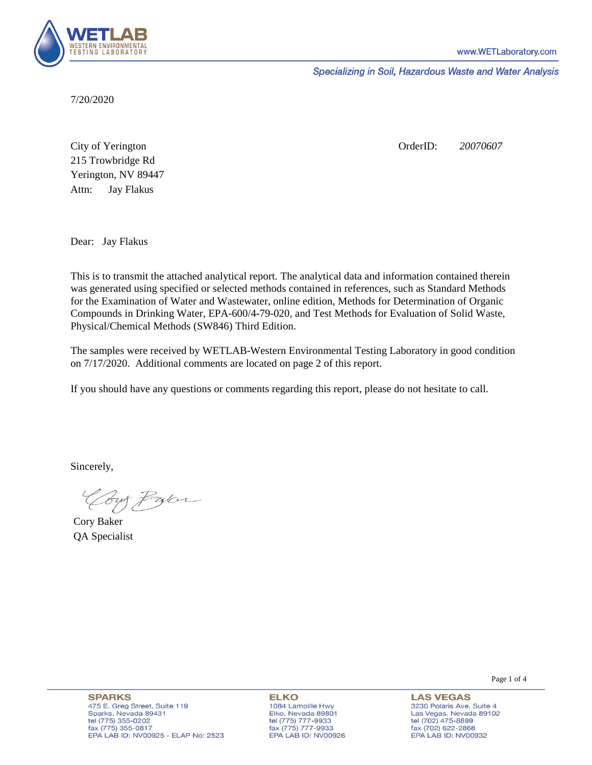

Specializing in Soil, Hazardous Waste and Water Analysis

7/20/2020

Attn: City of Yerington 215 Trowbridge Rd Jay Flakus Yerington, NV 89447 OrderID: *20070607*

Dear: Jay Flakus

This is to transmit the attached analytical report. The analytical data and information contained therein was generated using specified or selected methods contained in references, such as Standard Methods for the Examination of Water and Wastewater, online edition, Methods for Determination of Organic Compounds in Drinking Water, EPA-600/4-79-020, and Test Methods for Evaluation of Solid Waste, Physical/Chemical Methods (SW846) Third Edition.

The samples were received by WETLAB-Western Environmental Testing Laboratory in good condition on 7/17/2020. Additional comments are located on page 2 of this report.

If you should have any questions or comments regarding this report, please do not hesitate to call.

Sincerely,

Coy Pater

Cory Baker QA Specialist

Page 1 of 4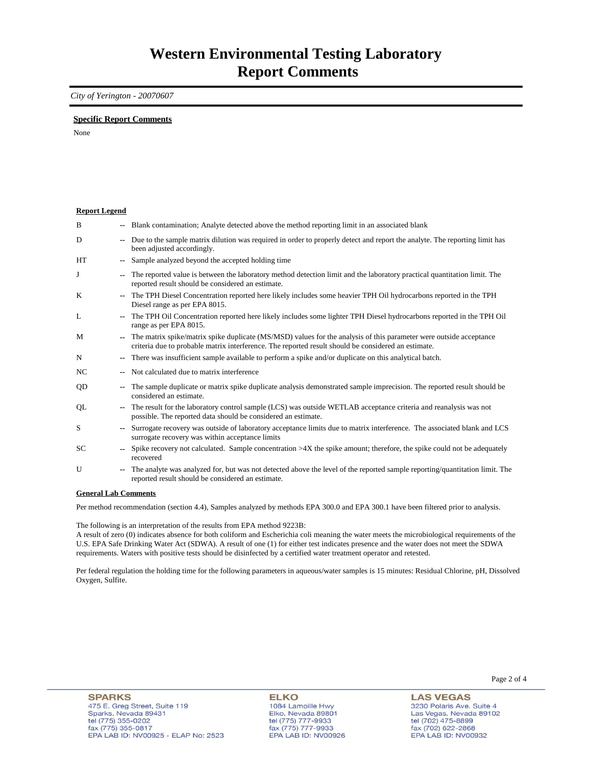### *City of Yerington - 20070607*

### **Specific Report Comments**

None

| <b>Report Legend</b>             |        |                                                                                                                                                                                                                           |
|----------------------------------|--------|---------------------------------------------------------------------------------------------------------------------------------------------------------------------------------------------------------------------------|
| B                                |        | -- Blank contamination; Analyte detected above the method reporting limit in an associated blank                                                                                                                          |
| D                                | $\sim$ | Due to the sample matrix dilution was required in order to properly detect and report the analyte. The reporting limit has<br>been adjusted accordingly.                                                                  |
| HT                               |        | Sample analyzed beyond the accepted holding time                                                                                                                                                                          |
| J                                |        | The reported value is between the laboratory method detection limit and the laboratory practical quantitation limit. The<br>reported result should be considered an estimate.                                             |
| K                                |        | The TPH Diesel Concentration reported here likely includes some heavier TPH Oil hydrocarbons reported in the TPH<br>Diesel range as per EPA 8015.                                                                         |
| L                                |        | The TPH Oil Concentration reported here likely includes some lighter TPH Diesel hydrocarbons reported in the TPH Oil<br>range as per EPA 8015.                                                                            |
| M                                |        | The matrix spike/matrix spike duplicate (MS/MSD) values for the analysis of this parameter were outside acceptance<br>criteria due to probable matrix interference. The reported result should be considered an estimate. |
| N                                |        | There was insufficient sample available to perform a spike and/or duplicate on this analytical batch.                                                                                                                     |
| NC                               |        | Not calculated due to matrix interference                                                                                                                                                                                 |
| QD                               | ۰.     | The sample duplicate or matrix spike duplicate analysis demonstrated sample imprecision. The reported result should be<br>considered an estimate.                                                                         |
| QL                               |        | The result for the laboratory control sample (LCS) was outside WETLAB acceptance criteria and reanalysis was not<br>possible. The reported data should be considered an estimate.                                         |
| S                                |        | Surrogate recovery was outside of laboratory acceptance limits due to matrix interference. The associated blank and LCS<br>surrogate recovery was within acceptance limits                                                |
| SC                               |        | Spike recovery not calculated. Sample concentration $>4X$ the spike amount; therefore, the spike could not be adequately<br>recovered                                                                                     |
| U                                |        | The analyte was analyzed for, but was not detected above the level of the reported sample reporting/quantitation limit. The<br>reported result should be considered an estimate.                                          |
| $\alpha$ if $\alpha$ is $\alpha$ |        |                                                                                                                                                                                                                           |

#### **General Lab Comments**

Per method recommendation (section 4.4), Samples analyzed by methods EPA 300.0 and EPA 300.1 have been filtered prior to analysis.

The following is an interpretation of the results from EPA method 9223B:

A result of zero (0) indicates absence for both coliform and Escherichia coli meaning the water meets the microbiological requirements of the U.S. EPA Safe Drinking Water Act (SDWA). A result of one (1) for either test indicates presence and the water does not meet the SDWA requirements. Waters with positive tests should be disinfected by a certified water treatment operator and retested.

Per federal regulation the holding time for the following parameters in aqueous/water samples is 15 minutes: Residual Chlorine, pH, Dissolved Oxygen, Sulfite.

**ELKO** 1084 Lamoille Hwy Elko, Nevada 89801 tel (775) 777-9933<br>fax (775) 777-9933 EPA LAB ID: NV00926 Page 2 of 4

**LAS VEGAS** 3230 Polaris Ave. Suite 4 Las Vegas, Nevada 89102 tel (702) 475-8899<br>fax (702) 622-2868 EPA LAB ID: NV00932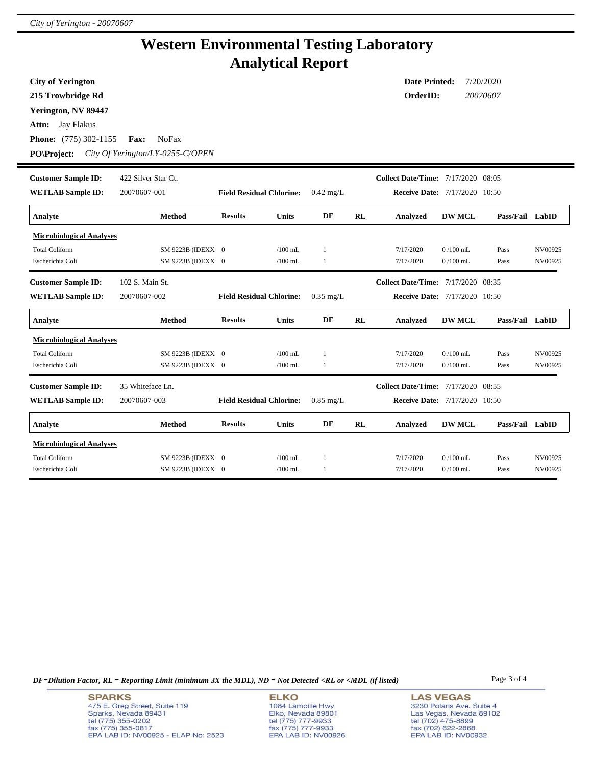# **Western Environmental Testing Laboratory Analytical Report**

| <b>City of Yerington</b>                       |                                  |                                 |              |                     |           | <b>Date Printed:</b>                 |               | 7/20/2020       |         |
|------------------------------------------------|----------------------------------|---------------------------------|--------------|---------------------|-----------|--------------------------------------|---------------|-----------------|---------|
| 215 Trowbridge Rd                              |                                  |                                 |              |                     |           | OrderID:                             |               | 20070607        |         |
| Yerington, NV 89447                            |                                  |                                 |              |                     |           |                                      |               |                 |         |
| Jay Flakus<br>Attn:                            |                                  |                                 |              |                     |           |                                      |               |                 |         |
| <b>Phone:</b> (775) 302-1155                   | <b>NoFax</b><br><b>Fax:</b>      |                                 |              |                     |           |                                      |               |                 |         |
| <b>PO\Project:</b>                             | City Of Yerington/LY-0255-C/OPEN |                                 |              |                     |           |                                      |               |                 |         |
| <b>Customer Sample ID:</b>                     | 422 Silver Star Ct.              |                                 |              |                     |           | Collect Date/Time: 7/17/2020 08:05   |               |                 |         |
| <b>WETLAB Sample ID:</b>                       | 20070607-001                     | <b>Field Residual Chlorine:</b> |              | $0.42 \text{ mg/L}$ |           | <b>Receive Date: 7/17/2020 10:50</b> |               |                 |         |
| Analyte                                        | Method                           | <b>Results</b>                  | <b>Units</b> | DF                  | RL        | <b>Analyzed</b>                      | <b>DW MCL</b> | Pass/Fail LabID |         |
| <b>Microbiological Analyses</b>                |                                  |                                 |              |                     |           |                                      |               |                 |         |
| <b>Total Coliform</b>                          | SM 9223B (IDEXX 0                |                                 | $/100$ mL    | 1                   |           | 7/17/2020                            | $0/100$ mL    | Pass            | NV00925 |
| Escherichia Coli                               | SM 9223B (IDEXX 0                |                                 | $/100$ mL    | $\mathbf{1}$        |           | 7/17/2020                            | $0/100$ mL    | Pass            | NV00925 |
| <b>Customer Sample ID:</b>                     | 102 S. Main St.                  |                                 |              |                     |           | Collect Date/Time: 7/17/2020 08:35   |               |                 |         |
| <b>WETLAB Sample ID:</b>                       | 20070607-002                     | <b>Field Residual Chlorine:</b> |              | $0.35$ mg/L         |           | <b>Receive Date: 7/17/2020 10:50</b> |               |                 |         |
| Analyte                                        | <b>Method</b>                    | <b>Results</b>                  | <b>Units</b> | DF                  | <b>RL</b> | Analyzed                             | <b>DW MCL</b> | Pass/Fail LabID |         |
| <b>Microbiological Analyses</b>                |                                  |                                 |              |                     |           |                                      |               |                 |         |
| <b>Total Coliform</b>                          | SM 9223B (IDEXX 0                |                                 | $/100$ mL    | $\mathbf{1}$        |           | 7/17/2020                            | $0/100$ mL    | Pass            | NV00925 |
| Escherichia Coli                               | SM 9223B (IDEXX 0                |                                 | $/100$ mL    | $\mathbf{1}$        |           | 7/17/2020                            | $0/100$ mL    | Pass            | NV00925 |
| <b>Customer Sample ID:</b><br>35 Whiteface Ln. |                                  |                                 |              |                     |           | Collect Date/Time: 7/17/2020 08:55   |               |                 |         |
| <b>WETLAB Sample ID:</b>                       | 20070607-003                     | <b>Field Residual Chlorine:</b> |              | $0.85$ mg/L         |           | <b>Receive Date: 7/17/2020 10:50</b> |               |                 |         |
| Analyte                                        | Method                           | <b>Results</b>                  | <b>Units</b> | DF                  | RL        | Analyzed                             | <b>DW MCL</b> | Pass/Fail LabID |         |
| <b>Microbiological Analyses</b>                |                                  |                                 |              |                     |           |                                      |               |                 |         |
| <b>Total Coliform</b>                          | SM 9223B (IDEXX 0                |                                 | $/100$ mL    | 1                   |           | 7/17/2020                            | $0/100$ mL    | Pass            | NV00925 |
| Escherichia Coli                               | SM 9223B (IDEXX 0                |                                 | $/100$ mL    | $\mathbf{1}$        |           | 7/17/2020                            | $0/100$ mL    | Pass            | NV00925 |

*DF=Dilution Factor, RL = Reporting Limit (minimum 3X the MDL), ND = Not Detected <RL or <MDL (if listed)* Page 3 of 4

**ELKO** 1084 Lamoille Hwy Elko, Nevada 89801<br>tel (775) 777-9933<br>fax (775) 777-9933 EPA LAB ID: NV00926 **LAS VEGAS** 3230 Polaris Ave. Suite 4 Las Vegas, Nevada 89102 tel (702) 475-8899<br>fax (702) 622-2868<br>EPA LAB ID: NV00932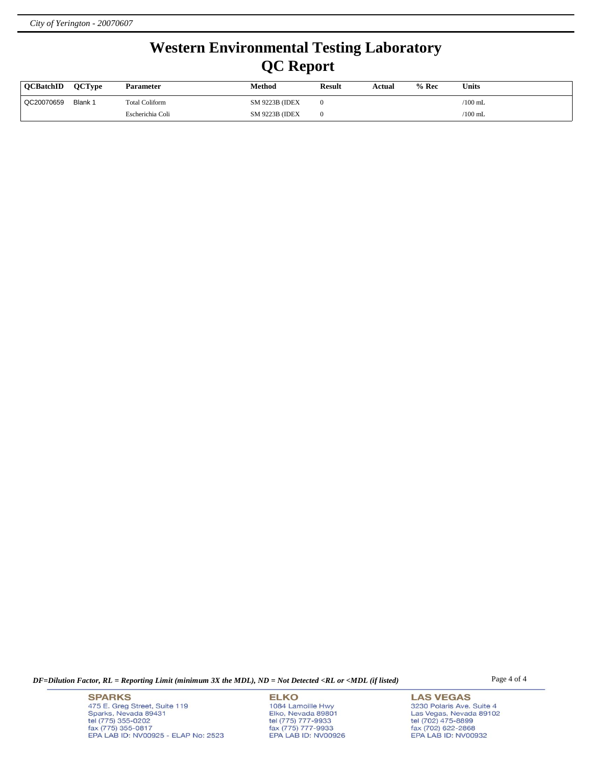# **Western Environmental Testing Laboratory QC Report**

| <b>OCBatchID</b> | <b>OCTvpe</b> | <b>Parameter</b>      | Method                 | <b>Result</b> | Actual | $%$ Rec | <b>Units</b> |
|------------------|---------------|-----------------------|------------------------|---------------|--------|---------|--------------|
| QC20070659       | Blank 1       | <b>Total Coliform</b> | <b>SM 9223B (IDEX)</b> |               |        |         | /100 mL      |
|                  |               | Escherichia Coli      | <b>SM 9223B (IDEX)</b> |               |        |         | $/100$ mL    |

*DF=Dilution Factor, RL = Reporting Limit (minimum 3X the MDL), ND = Not Detected <RL or <MDL (if listed)* Page 4 of 4

**SPARKS** 475 E. Greg Street, Suite 119 Sparks, Nevada 89431<br>tel (775) 355-0202<br>fax (775) 355-0817 EPA LAB ID: NV00925 - ELAP No: 2523

**ELKO** 1084 Lamoille Hwy Elko, Nevada 89801<br>tel (775) 777-9933<br>fax (775) 777-9933 EPA LAB ID: NV00926 **LAS VEGAS** 3230 Polaris Ave. Suite 4 Las Vegas, Nevada 89102 tel (702) 475-8899<br>fax (702) 622-2868<br>EPA LAB ID: NV00932